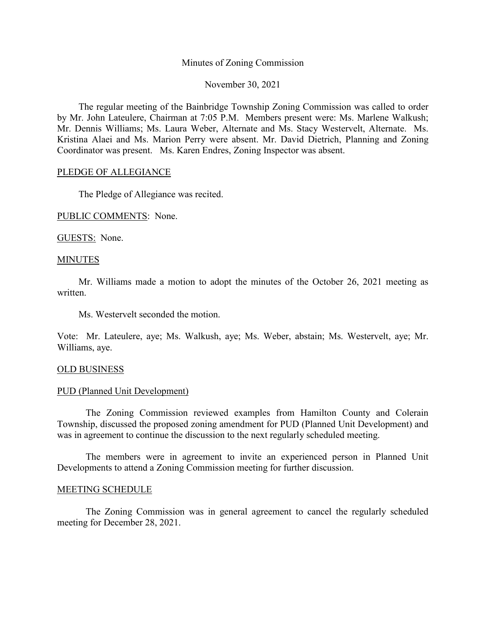### Minutes of Zoning Commission

November 30, 2021

The regular meeting of the Bainbridge Township Zoning Commission was called to order by Mr. John Lateulere, Chairman at 7:05 P.M. Members present were: Ms. Marlene Walkush; Mr. Dennis Williams; Ms. Laura Weber, Alternate and Ms. Stacy Westervelt, Alternate. Ms. Kristina Alaei and Ms. Marion Perry were absent. Mr. David Dietrich, Planning and Zoning Coordinator was present. Ms. Karen Endres, Zoning Inspector was absent.

## PLEDGE OF ALLEGIANCE

The Pledge of Allegiance was recited.

PUBLIC COMMENTS: None.

GUESTS: None.

### **MINUTES**

Mr. Williams made a motion to adopt the minutes of the October 26, 2021 meeting as written.

Ms. Westervelt seconded the motion.

Vote: Mr. Lateulere, aye; Ms. Walkush, aye; Ms. Weber, abstain; Ms. Westervelt, aye; Mr. Williams, aye.

# OLD BUSINESS

### PUD (Planned Unit Development)

The Zoning Commission reviewed examples from Hamilton County and Colerain Township, discussed the proposed zoning amendment for PUD (Planned Unit Development) and was in agreement to continue the discussion to the next regularly scheduled meeting.

The members were in agreement to invite an experienced person in Planned Unit Developments to attend a Zoning Commission meeting for further discussion.

### MEETING SCHEDULE

The Zoning Commission was in general agreement to cancel the regularly scheduled meeting for December 28, 2021.